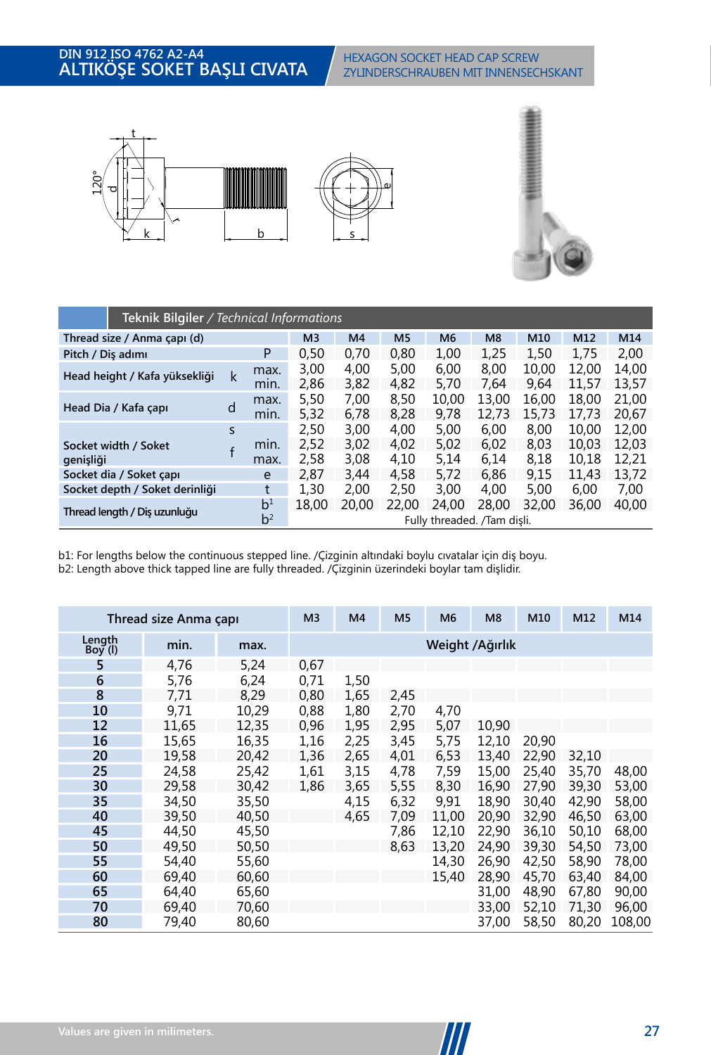

|                                | Teknik Bilgiler / Technical Informations |                                  |                |                |                |                                      |                |                |                |                |  |  |  |
|--------------------------------|------------------------------------------|----------------------------------|----------------|----------------|----------------|--------------------------------------|----------------|----------------|----------------|----------------|--|--|--|
| Thread size / Anma capı (d)    | M <sub>3</sub>                           | M <sub>4</sub>                   | M <sub>5</sub> | M <sub>6</sub> | M <sub>8</sub> | M10                                  | M12            | M14            |                |                |  |  |  |
| Pitch / Dis adımı              |                                          | P                                | 0,50           | 0,70           | 0,80           | 1,00                                 | 1,25           | 1,50           | 1,75           | 2,00           |  |  |  |
| Head height / Kafa yüksekliği  | k                                        | max.<br>min.                     | 3.00<br>2,86   | 4.00<br>3,82   | 5,00<br>4,82   | 6,00<br>5,70                         | 8.00<br>7,64   | 10.00<br>9,64  | 12.00<br>11.57 | 14,00<br>13.57 |  |  |  |
| Head Dia / Kafa capı           | d                                        | max.<br>min.                     | 5,50<br>5.32   | 7.00<br>6,78   | 8.50<br>8,28   | 10.00<br>9,78                        | 13.00<br>12.73 | 16.00<br>15.73 | 18.00<br>17.73 | 21.00<br>20.67 |  |  |  |
| Socket width / Soket           | $\mathsf{S}$                             | min.                             | 2.50<br>2.52   | 3,00<br>3.02   | 4,00<br>4.02   | 5,00<br>5.02                         | 6,00<br>6.02   | 8,00<br>8.03   | 10.00<br>10.03 | 12,00<br>12.03 |  |  |  |
| genişliği                      |                                          | max.                             | 2.58           | 3,08           | 4,10           | 5,14                                 | 6,14           | 8,18           | 10.18          | 12.21          |  |  |  |
| Socket dia / Soket capi        |                                          | e                                | 2.87           | 3.44           | 4.58           | 5.72                                 | 6.86           | 9.15           | 11.43          | 13.72          |  |  |  |
| Socket depth / Soket derinliği |                                          | t                                | 1.30           | 2.00           | 2,50           | 3.00                                 | 4.00           | 5.00           | 6.00           | 7.00           |  |  |  |
| Thread length / Dis uzunluğu   |                                          | b <sup>1</sup><br>b <sup>2</sup> | 18,00          | 20,00          | 22,00          | 24.00<br>Fully threaded. /Tam disli. | 28,00          | 32.00          | 36,00          | 40,00          |  |  |  |
|                                |                                          |                                  |                |                |                |                                      |                |                |                |                |  |  |  |

**M3 M4 M5 M6 M8 M10 M12 M14 Thread size / Anma çapı (d)** b2: Length above thick tapped line are fully threaded. /Çizginin üzerindeki boylar tam dişlidir. b1: For lengths below the continuous stepped line. /Çizginin altındaki boylu cıvatalar için diş boyu.

|                  | Thread size Anma çapı |       | M <sub>3</sub> | M <sub>4</sub> | M <sub>5</sub> | M <sub>6</sub> | M <sub>8</sub>   | M10   | M12   | M14    |
|------------------|-----------------------|-------|----------------|----------------|----------------|----------------|------------------|-------|-------|--------|
| Length<br>Boy(1) | min.                  | max.  |                |                |                |                | Weight / Ağırlık |       |       |        |
| 5                | 4,76                  | 5,24  | 0,67           |                |                |                |                  |       |       |        |
| 6                | 5,76                  | 6,24  | 0,71           | 1,50           |                |                |                  |       |       |        |
| 8                | 7,71                  | 8.29  | 0,80           | 1,65           | 2,45           |                |                  |       |       |        |
| 10               | 9,71                  | 10,29 | 0,88           | 1,80           | 2,70           | 4,70           |                  |       |       |        |
| 12               | 11,65                 | 12,35 | 0,96           | 1.95           | 2,95           | 5,07           | 10,90            |       |       |        |
| 16               | 15,65                 | 16,35 | 1,16           | 2,25           | 3,45           | 5,75           | 12,10            | 20,90 |       |        |
| 20               | 19.58                 | 20,42 | 1,36           | 2.65           | 4,01           | 6,53           | 13,40            | 22,90 | 32,10 |        |
| 25               | 24,58                 | 25,42 | 1,61           | 3,15           | 4,78           | 7,59           | 15,00            | 25,40 | 35,70 | 48,00  |
| 30               | 29,58                 | 30,42 | 1,86           | 3,65           | 5,55           | 8,30           | 16.90            | 27,90 | 39,30 | 53,00  |
| 35               | 34,50                 | 35,50 |                | 4,15           | 6,32           | 9,91           | 18,90            | 30,40 | 42,90 | 58,00  |
| 40               | 39,50                 | 40,50 |                | 4.65           | 7,09           | 11.00          | 20.90            | 32,90 | 46,50 | 63,00  |
| 45               | 44,50                 | 45,50 |                |                | 7,86           | 12,10          | 22,90            | 36,10 | 50,10 | 68,00  |
| 50               | 49,50                 | 50,50 |                |                | 8,63           | 13,20          | 24,90            | 39,30 | 54,50 | 73,00  |
| 55               | 54.40                 | 55,60 |                |                |                | 14.30          | 26.90            | 42.50 | 58.90 | 78,00  |
| 60               | 69,40                 | 60,60 |                |                |                | 15.40          | 28,90            | 45,70 | 63,40 | 84,00  |
| 65               | 64,40                 | 65,60 |                |                |                |                | 31,00            | 48,90 | 67,80 | 90,00  |
| 70               | 69,40                 | 70,60 |                |                |                |                | 33,00            | 52,10 | 71,30 | 96,00  |
| 80               | 79,40                 | 80,60 |                |                |                |                | 37,00            | 58,50 | 80,20 | 108,00 |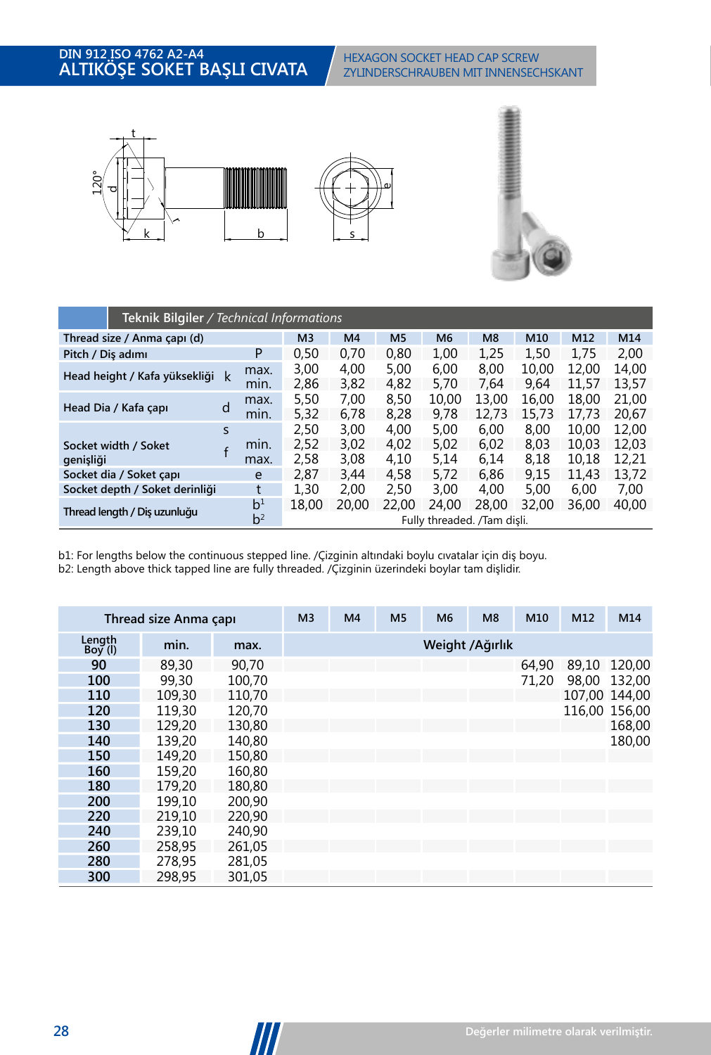

|                                   | Teknik Bilgiler / Technical Informations |                                  |                |                |                |                                      |                |                |                |                |  |  |  |  |
|-----------------------------------|------------------------------------------|----------------------------------|----------------|----------------|----------------|--------------------------------------|----------------|----------------|----------------|----------------|--|--|--|--|
| Thread size / Anma capı (d)       |                                          |                                  | M <sub>3</sub> | M <sub>4</sub> | M <sub>5</sub> | M <sub>6</sub>                       | M8             | M10            | M12            | M14            |  |  |  |  |
| Pitch / Dis adımı                 |                                          | P                                | 0,50           | 0,70           | 0,80           | 1,00                                 | 1,25           | 1,50           | 1,75           | 2,00           |  |  |  |  |
| Head height / Kafa yüksekliği     | k                                        | max.<br>mın.                     | 3,00<br>2,86   | 4,00<br>3,82   | 5,00<br>4,82   | 6,00<br>5,70                         | 8,00<br>7,64   | 10,00<br>9,64  | 12.00<br>11.57 | 14,00<br>13,57 |  |  |  |  |
| Head Dia / Kafa çapı              | d                                        | max.<br>min.                     | 5,50<br>5,32   | 7,00<br>6,78   | 8.50<br>8,28   | 10.00<br>9,78                        | 13.00<br>12.73 | 16.00<br>15.73 | 18.00<br>17.73 | 21.00<br>20,67 |  |  |  |  |
|                                   | S                                        |                                  | 2,50           | 3,00           | 4,00           | 5,00                                 | 6,00           | 8,00           | 10.00          | 12,00          |  |  |  |  |
| Socket width / Soket<br>genişliği |                                          | min.<br>max.                     | 2.52<br>2,58   | 3,02<br>3,08   | 4.02<br>4,10   | 5.02<br>5.14                         | 6.02<br>6,14   | 8.03<br>8,18   | 10.03<br>10.18 | 12.03<br>12,21 |  |  |  |  |
| Socket dia / Soket capi           |                                          | e                                | 2.87           | 3.44           | 4.58           | 5.72                                 | 6.86           | 9.15           | 11.43          | 13.72          |  |  |  |  |
| Socket depth / Soket derinliği    |                                          | t                                | 1.30           | 2.00           | 2.50           | 3.00                                 | 4.00           | 5.00           | 6.00           | 7.00           |  |  |  |  |
| Thread length / Dis uzunluğu      |                                          | b <sup>1</sup><br>b <sup>2</sup> | 18,00          | 20,00          | 22,00          | 24.00<br>Fully threaded. /Tam dişli. | 28,00          | 32,00          | 36,00          | 40.00          |  |  |  |  |
|                                   |                                          |                                  |                |                |                |                                      |                |                |                |                |  |  |  |  |

**M3 M4 M5 M6 M8 M10 M12 M14 Thread size / Anma çapı (d)** b2: Length above thick tapped line are fully threaded. /Çizginin üzerindeki boylar tam dişlidir. b1: For lengths below the continuous stepped line. /Çizginin altındaki boylu cıvatalar için diş boyu.

|                     | Thread size Anma çapı |        | M <sub>3</sub> | M <sub>4</sub> | M <sub>5</sub> | M <sub>6</sub> | M8               | M10   | M12   | M14           |
|---------------------|-----------------------|--------|----------------|----------------|----------------|----------------|------------------|-------|-------|---------------|
| Length<br>Boy $(I)$ | min.                  | max.   |                |                |                |                | Weight / Ağırlık |       |       |               |
| 90                  | 89,30                 | 90.70  |                |                |                |                |                  | 64,90 | 89.10 | 120.00        |
| 100                 | 99.30                 | 100.70 |                |                |                |                |                  | 71.20 | 98.00 | 132.00        |
| 110                 | 109.30                | 110.70 |                |                |                |                |                  |       |       | 107.00 144.00 |
| 120                 | 119,30                | 120.70 |                |                |                |                |                  |       |       | 116,00 156,00 |
| 130                 | 129,20                | 130.80 |                |                |                |                |                  |       |       | 168,00        |
| 140                 | 139,20                | 140.80 |                |                |                |                |                  |       |       | 180,00        |
| 150                 | 149.20                | 150.80 |                |                |                |                |                  |       |       |               |
| 160                 | 159.20                | 160.80 |                |                |                |                |                  |       |       |               |
| 180                 | 179.20                | 180.80 |                |                |                |                |                  |       |       |               |
| 200                 | 199.10                | 200.90 |                |                |                |                |                  |       |       |               |
| 220                 | 219.10                | 220.90 |                |                |                |                |                  |       |       |               |
| 240                 | 239.10                | 240.90 |                |                |                |                |                  |       |       |               |
| 260                 | 258.95                | 261.05 |                |                |                |                |                  |       |       |               |
| 280                 | 278.95                | 281.05 |                |                |                |                |                  |       |       |               |
| 300                 | 298.95                | 301.05 |                |                |                |                |                  |       |       |               |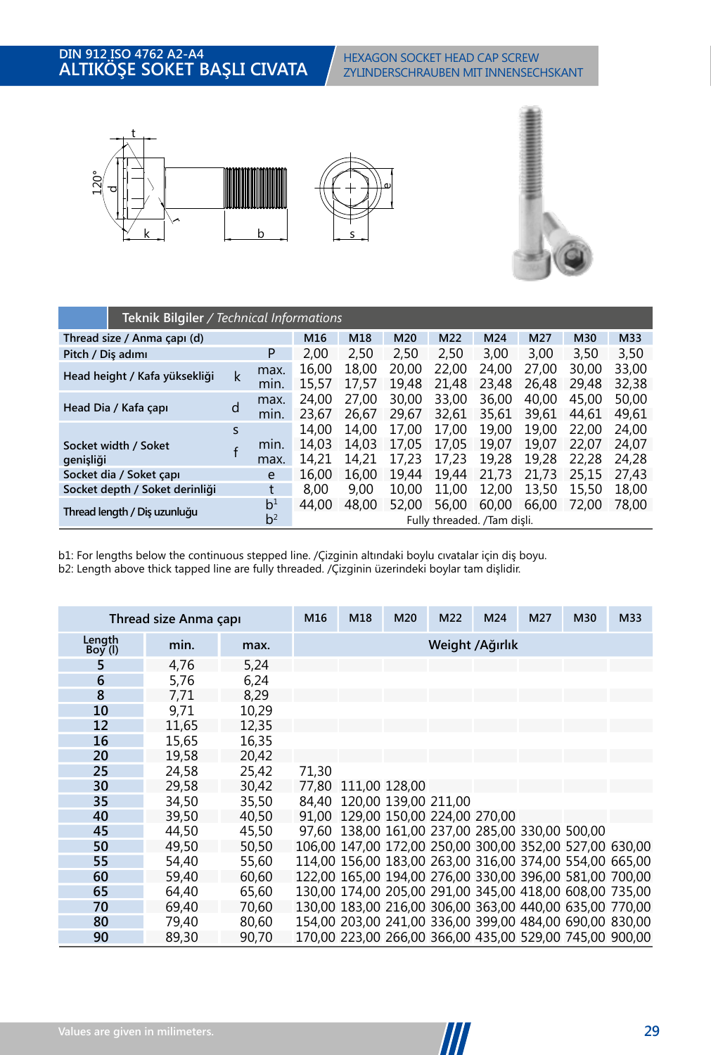

|                   | Teknik Bilgiler / Technical Informations |   |                |                |                |                |                |                             |                |                |                |  |  |
|-------------------|------------------------------------------|---|----------------|----------------|----------------|----------------|----------------|-----------------------------|----------------|----------------|----------------|--|--|
|                   | Thread size / Anma capı (d)              |   |                | M16            | M18            | M20            | M22            | M24                         | M27            | M30            | M33            |  |  |
| Pitch / Dis adımı |                                          |   | P              | 2,00           | 2,50           | 2.50           | 2,50           | 3,00                        | 3,00           | 3,50           | 3,50           |  |  |
|                   | Head height / Kafa yüksekliği            | k | max.<br>min.   | 16.00<br>15,57 | 18.00<br>17.57 | 20.00<br>19.48 | 22.00<br>21,48 | 24.00<br>23.48              | 27.00<br>26.48 | 30.00<br>29.48 | 33,00<br>32,38 |  |  |
|                   | Head Dia / Kafa çapı                     | d | max.<br>min.   | 24.00<br>23.67 | 27.00<br>26.67 | 30.00<br>29.67 | 33,00<br>32.61 | 36,00<br>35.61              | 40.00<br>39.61 | 45,00<br>44.61 | 50.00<br>49,61 |  |  |
|                   |                                          | S |                | 14.00          | 14.00          | 17.00          | 17.00          | 19.00                       | 19.00          | 22,00          | 24.00          |  |  |
|                   | Socket width / Soket                     |   | min.           | 14.03          | 14.03          | 17.05          | 17.05          | 19.07                       | 19.07          | 22.07          | 24.07          |  |  |
| genişliği         |                                          |   | max.           | 14.21          | 14.21          | 17.23          | 17.23          | 19.28                       | 19.28          | 22.28          | 24.28          |  |  |
|                   | Socket dia / Soket capi                  |   | e              | 16,00          | 16.00          | 19.44          | 19.44          | 21.73                       | 21.73          | 25.15          | 27.43          |  |  |
|                   | Socket depth / Soket derinliği           |   | t              | 8.00           | 9.00           | 10.00          | 11.00          | 12.00                       | 13,50          | 15,50          | 18,00          |  |  |
|                   | Thread length / Dis uzunluğu             |   | b <sup>1</sup> | 44.00          | 48.00          | 52.00          | 56,00          | 60.00                       | 66.00          | 72.00          | 78,00          |  |  |
|                   |                                          |   | b <sup>2</sup> |                |                |                |                | Fully threaded. /Tam disli. |                |                |                |  |  |
|                   |                                          |   |                |                |                |                |                |                             |                |                |                |  |  |

**M3 M4 M5 M6 M8 M10 M12 M14 Thread size / Anma çapı (d)** b2: Length above thick tapped line are fully threaded. /Çizginin üzerindeki boylar tam dişlidir. b1: For lengths below the continuous stepped line. /Çizginin altındaki boylu cıvatalar için diş boyu.

|                     | Thread size Anma çapı |       | M16   | M18                        | M20 | M22                                                     | M24 | M27 | M30 | M33                                                     |  |
|---------------------|-----------------------|-------|-------|----------------------------|-----|---------------------------------------------------------|-----|-----|-----|---------------------------------------------------------|--|
| Length<br>$Boy$ (l) | min.                  | max.  |       | Weight / Ağırlık           |     |                                                         |     |     |     |                                                         |  |
| 5                   | 4.76                  | 5,24  |       |                            |     |                                                         |     |     |     |                                                         |  |
| 6                   | 5.76                  | 6.24  |       |                            |     |                                                         |     |     |     |                                                         |  |
| 8                   | 7.71                  | 8,29  |       |                            |     |                                                         |     |     |     |                                                         |  |
| 10                  | 9.71                  | 10,29 |       |                            |     |                                                         |     |     |     |                                                         |  |
| 12                  | 11.65                 | 12.35 |       |                            |     |                                                         |     |     |     |                                                         |  |
| 16                  | 15,65                 | 16,35 |       |                            |     |                                                         |     |     |     |                                                         |  |
| 20                  | 19.58                 | 20,42 |       |                            |     |                                                         |     |     |     |                                                         |  |
| 25                  | 24,58                 | 25.42 | 71.30 |                            |     |                                                         |     |     |     |                                                         |  |
| 30                  | 29.58                 | 30,42 |       | 77.80 111.00 128.00        |     |                                                         |     |     |     |                                                         |  |
| 35                  | 34,50                 | 35,50 |       | 84,40 120,00 139,00 211,00 |     |                                                         |     |     |     |                                                         |  |
| 40                  | 39.50                 | 40.50 | 91.00 |                            |     | 129.00 150.00 224.00 270.00                             |     |     |     |                                                         |  |
| 45                  | 44.50                 | 45.50 |       |                            |     | 97.60 138.00 161.00 237.00 285.00 330.00 500.00         |     |     |     |                                                         |  |
| 50                  | 49.50                 | 50,50 |       |                            |     |                                                         |     |     |     | 106,00 147,00 172,00 250,00 300,00 352,00 527,00 630,00 |  |
| 55                  | 54,40                 | 55,60 |       |                            |     |                                                         |     |     |     | 114.00 156.00 183.00 263.00 316.00 374.00 554.00 665.00 |  |
| 60                  | 59.40                 | 60,60 |       |                            |     |                                                         |     |     |     | 122,00 165,00 194,00 276,00 330,00 396,00 581,00 700,00 |  |
| 65                  | 64.40                 | 65,60 |       |                            |     |                                                         |     |     |     | 130,00 174,00 205,00 291,00 345,00 418,00 608,00 735,00 |  |
| 70                  | 69.40                 | 70,60 |       |                            |     | 130,00 183,00 216,00 306,00 363,00 440,00 635,00 770,00 |     |     |     |                                                         |  |
| 80                  | 79,40                 | 80,60 |       |                            |     |                                                         |     |     |     | 154.00 203.00 241.00 336.00 399.00 484.00 690.00 830.00 |  |
| 90                  | 89,30                 | 90.70 |       |                            |     |                                                         |     |     |     | 170,00 223,00 266,00 366,00 435,00 529,00 745,00 900,00 |  |